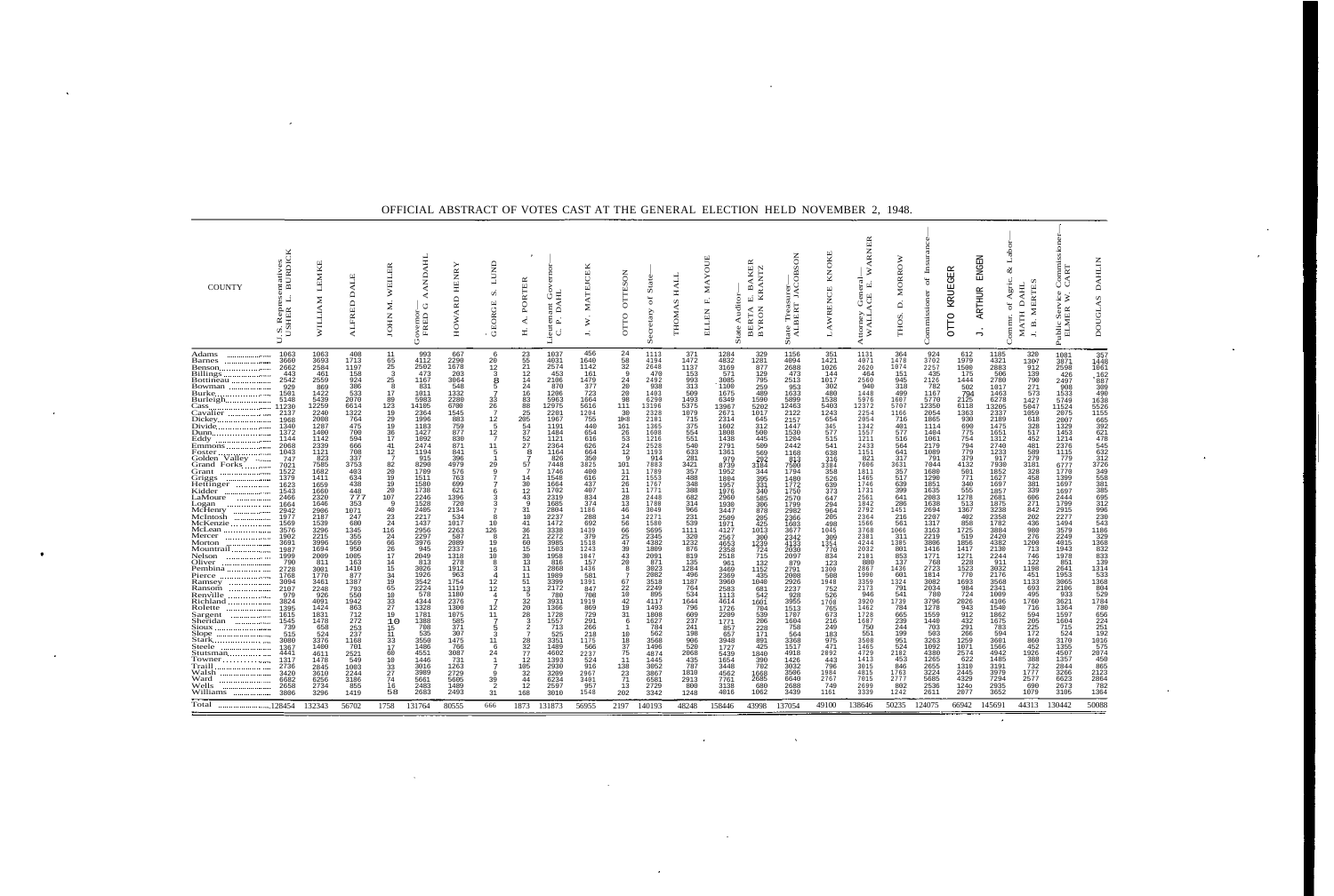## OFFICIAL ABSTRACT OF VOTES CAST AT THE GENERAL ELECTION HELD NOVEMBER 2, 1948.

| <b>COUNTY</b>                                                                                                                                                                                                                                                                                                                                                                                                                                                                                                                                                                                                                                                                                                                                                                                                                                                                                                                                                                                                                                                                                                                                                                                                                                                                                                                                                                                                                                                                                                                                                                                                                                                                                                                                                                                     | entatives<br>. BURDICK<br>n                                                                                                                                                                                                                                                                                                                                                                                                                    | <b>LEM</b><br><b>INALITI</b>                                                                                                                                                                                                                                                                                                                                                                                                             | <b>ALE</b><br>≏<br><b>ALFRED</b>                                                                                                                                                                                                                                                                                                                                                                                   | EILER<br>≽<br>$\Sigma$<br>JOHN                                                                                                                                                                                                                                                                                                                                                                                                                                     | AANDAHL<br>$\circ$<br>overnor<br>FRED                                                                                                                                                                                                                                                                                                                                                                                                  | <b>HENR</b><br>HOWARD                                                                                                                                                                                                                                                                                                                                                                                                 | LUND<br>n<br><b>GEORGE</b>                                                                                                                                                                                                                                                                                                                                                                                                                                                                                                                                                                                   | PORTER<br>À.<br>보                                                                                                                                                                                                                                                                                                                                                        | 뵤<br>Ŭ<br>$\Delta$<br>ant<br>ten<br>$\mathbf{p}$<br>Lieut<br>ن                                                                                                                                                                                                                                                                                                                                                                           | EK<br>ō<br><b>ATEJ</b><br>Ż.<br>₹                                                                                                                                                                                                                                                                                                                                                                            | <b>OTTESON</b><br>OTTO                                                                                                                                                                                                                                                                                                                                                                                                                                       | State<br>ð<br>Secretary                                                                                                                                                                                                                                                                                                                                                                                                                  | <b>HALL</b><br><b>THOMAS</b>                                                                                                                                                                                                                                                                                                                                                                                    | <b>TOOX</b><br>$M\overline{A}$<br>Auditor<br>$\vec{\mathbf{r}}$<br><b>ELLEN</b><br>State                                                                                                                                                                                                                                                                                                                                                    | ≃<br>KEI<br>$\mathbf{m}$<br>цQ<br>BERTA<br>BYRON                                                                                                                                                                                                                                                                                                                                                              | urer—<br>JACOBSON<br>tate Treası<br>ALBERT<br>ū.                                                                                                                                                                                                                                                                                                                                                                                         | KNOKI<br>LAWRENCE                                                                                                                                                                                                                                                                                                                                                                                        | <b>INER</b><br>⋗<br>$\frac{1}{E}$ .<br>ACE<br>ttorney<br>WALL.                                                                                                                                                                                                                                                                                                                                                                           | MORROW<br>$\Delta$<br>THOS.                                                                                                                                                                                                                                                                                                                                                                                                                           | Lns<br>$\sigma f$<br>Commissioner                                                                                                                                                                                                                                                                                                                                                                                                       | KRUEGER<br><b>OLLO</b>                                                                                                                                                                                                                                                                                                                                                                                                       | Laboi<br><b>ENGEN</b><br>$\otimes$<br>Agric.<br>ARTHUR<br>$\sigma$<br>Commu:<br>$\overline{\phantom{m}}$                                                                                                                                                                                                                                                                                                                                   | <b>MERTES</b><br><b>DAHL</b><br><b>MATH</b><br>Ä                                                                                                                                                                                                                                                                                                                                                              | ŬÜ<br>$\sqrt{\varkappa}$ .<br>ic Ser<br>MER<br>n<br>EL<br>EL                                                                                                                                                                                                                                                                                                                                                                                    | <b>DAHLIN</b><br><b>DOUGLAS</b>                                                                                                                                                                                                                                                                                                                                                                                   |
|---------------------------------------------------------------------------------------------------------------------------------------------------------------------------------------------------------------------------------------------------------------------------------------------------------------------------------------------------------------------------------------------------------------------------------------------------------------------------------------------------------------------------------------------------------------------------------------------------------------------------------------------------------------------------------------------------------------------------------------------------------------------------------------------------------------------------------------------------------------------------------------------------------------------------------------------------------------------------------------------------------------------------------------------------------------------------------------------------------------------------------------------------------------------------------------------------------------------------------------------------------------------------------------------------------------------------------------------------------------------------------------------------------------------------------------------------------------------------------------------------------------------------------------------------------------------------------------------------------------------------------------------------------------------------------------------------------------------------------------------------------------------------------------------------|------------------------------------------------------------------------------------------------------------------------------------------------------------------------------------------------------------------------------------------------------------------------------------------------------------------------------------------------------------------------------------------------------------------------------------------------|------------------------------------------------------------------------------------------------------------------------------------------------------------------------------------------------------------------------------------------------------------------------------------------------------------------------------------------------------------------------------------------------------------------------------------------|--------------------------------------------------------------------------------------------------------------------------------------------------------------------------------------------------------------------------------------------------------------------------------------------------------------------------------------------------------------------------------------------------------------------|--------------------------------------------------------------------------------------------------------------------------------------------------------------------------------------------------------------------------------------------------------------------------------------------------------------------------------------------------------------------------------------------------------------------------------------------------------------------|----------------------------------------------------------------------------------------------------------------------------------------------------------------------------------------------------------------------------------------------------------------------------------------------------------------------------------------------------------------------------------------------------------------------------------------|-----------------------------------------------------------------------------------------------------------------------------------------------------------------------------------------------------------------------------------------------------------------------------------------------------------------------------------------------------------------------------------------------------------------------|--------------------------------------------------------------------------------------------------------------------------------------------------------------------------------------------------------------------------------------------------------------------------------------------------------------------------------------------------------------------------------------------------------------------------------------------------------------------------------------------------------------------------------------------------------------------------------------------------------------|--------------------------------------------------------------------------------------------------------------------------------------------------------------------------------------------------------------------------------------------------------------------------------------------------------------------------------------------------------------------------|------------------------------------------------------------------------------------------------------------------------------------------------------------------------------------------------------------------------------------------------------------------------------------------------------------------------------------------------------------------------------------------------------------------------------------------|--------------------------------------------------------------------------------------------------------------------------------------------------------------------------------------------------------------------------------------------------------------------------------------------------------------------------------------------------------------------------------------------------------------|--------------------------------------------------------------------------------------------------------------------------------------------------------------------------------------------------------------------------------------------------------------------------------------------------------------------------------------------------------------------------------------------------------------------------------------------------------------|------------------------------------------------------------------------------------------------------------------------------------------------------------------------------------------------------------------------------------------------------------------------------------------------------------------------------------------------------------------------------------------------------------------------------------------|-----------------------------------------------------------------------------------------------------------------------------------------------------------------------------------------------------------------------------------------------------------------------------------------------------------------------------------------------------------------------------------------------------------------|---------------------------------------------------------------------------------------------------------------------------------------------------------------------------------------------------------------------------------------------------------------------------------------------------------------------------------------------------------------------------------------------------------------------------------------------|---------------------------------------------------------------------------------------------------------------------------------------------------------------------------------------------------------------------------------------------------------------------------------------------------------------------------------------------------------------------------------------------------------------|------------------------------------------------------------------------------------------------------------------------------------------------------------------------------------------------------------------------------------------------------------------------------------------------------------------------------------------------------------------------------------------------------------------------------------------|----------------------------------------------------------------------------------------------------------------------------------------------------------------------------------------------------------------------------------------------------------------------------------------------------------------------------------------------------------------------------------------------------------|------------------------------------------------------------------------------------------------------------------------------------------------------------------------------------------------------------------------------------------------------------------------------------------------------------------------------------------------------------------------------------------------------------------------------------------|-------------------------------------------------------------------------------------------------------------------------------------------------------------------------------------------------------------------------------------------------------------------------------------------------------------------------------------------------------------------------------------------------------------------------------------------------------|-----------------------------------------------------------------------------------------------------------------------------------------------------------------------------------------------------------------------------------------------------------------------------------------------------------------------------------------------------------------------------------------------------------------------------------------|------------------------------------------------------------------------------------------------------------------------------------------------------------------------------------------------------------------------------------------------------------------------------------------------------------------------------------------------------------------------------------------------------------------------------|--------------------------------------------------------------------------------------------------------------------------------------------------------------------------------------------------------------------------------------------------------------------------------------------------------------------------------------------------------------------------------------------------------------------------------------------|---------------------------------------------------------------------------------------------------------------------------------------------------------------------------------------------------------------------------------------------------------------------------------------------------------------------------------------------------------------------------------------------------------------|-------------------------------------------------------------------------------------------------------------------------------------------------------------------------------------------------------------------------------------------------------------------------------------------------------------------------------------------------------------------------------------------------------------------------------------------------|-------------------------------------------------------------------------------------------------------------------------------------------------------------------------------------------------------------------------------------------------------------------------------------------------------------------------------------------------------------------------------------------------------------------|
| Adams<br>. <del>.</del><br>Barnes<br>Benson<br>Billings.<br>Bowman<br>Burke…<br>تهم منظم المريد المريد المريد المريد المريد المريد المريد المريد المريد المريد المريد المريد المريد ا<br>Cass<br>Cavalier<br>Dickey<br>Emmons <b>.</b><br>Foster<br><b>TELESTICS</b><br>Golden_Valley<br>Grand Forks<br>Grant<br>. <del>.</del> .<br>Griggs<br>Kidder<br>. <b>.</b><br>LaMoure<br>Logan<br>المحجم والتباين والمتحدث<br>McHenry<br>McIntosh<br>. <del>.</del><br>McKenzie<br>McLean<br>Mercer<br>a construction and construction<br>Morton<br>. <b>.</b> .<br>Mountrail<br>. <b>.</b><br>Nelson<br>.<br>Oliver<br>Pembina .<br>a sa sala sa sa karan<br>Pierce<br><b>Salara Salah Salah Perangai</b><br>Ramsey<br>Ransom<br><b>CONTRACTOR</b><br>Renville<br>$\alpha$ , $\alpha$ , $\alpha$ , $\alpha$ , $\alpha$ , $\alpha$ , and $\alpha$<br>Richland<br>a construction and developments.<br>Rolette<br>an an an an an <del>see</del> co<br>Sargent<br>. <b>.</b><br>Sheridan<br>a construcción de estates<br>Sioux.<br>i i i i i i i i i i i <mark>saaasa</mark> .<br>Slope<br>Stark<br>$\label{eq:3.1} \begin{split} \mathcal{L}_{\mathcal{A}}(\mathcal{L}_{\mathcal{A}}(\mathcal{L}_{\mathcal{A}}(\mathcal{L}_{\mathcal{A}}(\mathcal{L}_{\mathcal{A}}(\mathcal{L}_{\mathcal{A}}(\mathcal{L}_{\mathcal{A}})))\mathbf{1}_{\mathcal{A}}(\mathcal{L}_{\mathcal{A}}(\mathcal{L}_{\mathcal{A}}(\mathcal{L}_{\mathcal{A}}(\mathcal{L}_{\mathcal{A}})))\mathbf{1}_{\mathcal{A}}(\mathcal{L}_{\mathcal{A}}(\mathcal{L}_{\mathcal{A}}(\mathcal{L}_{\mathcal{A}}(\mathcal{L}_{\mathcal{A}}$<br>Steele<br>. <b>.</b><br>Towner .<br>and a strategic and concern<br>Traill .<br>considerable and a manage<br>Walsh<br>. <b>.</b><br>Ward<br>. <del>.</del> .<br>Wells<br>. <b>.</b> .<br>Williams<br>Total | 1063<br>3660<br>2662<br>443<br>2542<br>929<br>1501<br>5148<br>. 11230<br>2137<br>1968<br>1340<br>1372<br>1144<br>2068<br>1043<br>747<br>7021<br>1522<br>1379<br>1623<br>1543<br>2466<br>1664<br>2942<br>1977<br>1569<br>3576<br>1902<br>3691<br>1987<br>1999<br>790<br>. <b>.</b><br>2728<br>1768<br>3094<br>2107<br>979<br>3824<br>1395<br>1615<br>1545<br>739<br>515<br>3080<br>1367<br>4441<br>1317<br>2736<br>3420<br>6682<br>2658<br>3806 | 1063<br>3693<br>2584<br>461<br>2559<br>869<br>1422<br>5439<br>12259<br>2240<br>2008<br>1287<br>1400<br>1142<br>2339<br>1121<br>823<br>7585<br>1682<br>1411<br>1659<br>1660<br>2320<br>1646<br>2906<br>2187<br>1539<br>3296<br>2215<br>3996<br>1694<br>2009<br>811<br>3001<br>1770<br>3461<br>2248<br>926<br>4091<br>1424<br>1831<br>1478<br>658<br>524<br>3376<br>1400<br>4611<br>1478<br>2845<br>3610<br>6256<br>2734<br>3296<br>132343 | $1\frac{408}{713}$<br>1197<br>158<br>924<br>386<br>533<br>2070<br>6614<br>1322<br>764<br>475<br>700<br>594<br>666<br>708<br>337<br>3753<br>403<br>634<br>438<br>448<br>777<br>353<br>1071<br>247<br>680<br>1345<br>355<br>1569<br>950<br>1005<br>163<br>1410<br>877<br>1387<br>793<br>550<br>1942<br>863<br>712<br>272<br>253<br>237<br>1168<br>701<br>2521<br>549<br>1003<br>2244<br>3186<br>855<br>1419<br>56702 | $\begin{array}{c} 11 \\ 65 \\ 25 \end{array}$<br>$\overline{\mathbf{3}}$<br>$2\bar{5}$<br>-8<br>17<br>89<br>$^{123}_{19}$<br>29<br>19<br>36<br>17<br>$\begin{smallmatrix} 41\\12 \end{smallmatrix}$<br>7<br>82<br>20<br>19<br>19<br>20<br>107<br>- 9<br>40<br>23<br>24<br>116<br>24<br>66<br>26<br>17<br>$\frac{14}{15}$<br>$\frac{34}{19}$<br>65<br>10<br>33<br>27<br>19<br>10<br>15<br>$11\,$<br>33<br>17<br>$^{60}_{10}$<br>$\frac{33}{27}$<br>16<br>58<br>1758 | 993<br>4112<br>2502<br>473<br>1167<br>831<br>1011<br>5983<br>14105<br>2364<br>1996<br>1183<br>1427<br>1092<br>2474<br>1194<br>915<br>8290<br>1709<br>1511<br>1580<br>1738<br>2246<br>1528<br>2405<br>2217<br>1437<br>2956<br>2297<br>3976<br>945<br>2049<br>813<br>3026<br>1926<br>3542<br>2224<br>578<br>4344<br>1328<br>1781<br>1388<br>708<br>535<br>3550<br>1486<br>4551<br>1446<br>3016<br>3989<br>5661<br>2483<br>2683<br>131764 | 667<br>2290<br>1678<br>203<br>3064<br>548<br>1332<br>2280<br>6700<br>1545<br>883<br>759<br>877<br>830<br>871<br>841<br>396<br>4979<br>576<br>763<br>699<br>621<br>1396<br>720<br>2134<br>534<br>1017<br>2263<br>587<br>2089<br>2337<br>1318<br>278<br>1912<br>963<br>1754<br>1119<br>1180<br>2376<br>1300<br>1075<br>585<br>371<br>307<br>1475<br>766<br>3087<br>731<br>1263<br>2729<br>5605<br>1489<br>2493<br>80555 | - 6<br>$\substack{20\\12}$<br>$\overline{\mathbf{3}}$<br>$\frac{8}{5}$<br>7<br>$\begin{array}{c}\n33 \\ 26 \\ 7\n\end{array}$<br>$\frac{12}{5}$<br>$\begin{array}{c} 12 \\ 7 \end{array}$<br>$11\,$<br>- 5<br>29<br>$\overline{9}$<br>7<br>$7\phantom{.0}$<br>- 6<br>3<br>$\overline{\mathbf{3}}$<br>$7\overline{ }$<br>8<br>10<br>126<br>8<br>$^{19}_{16}$<br>10<br>8<br>$\overline{\mathbf{3}}$<br>$\overline{4}$<br>12<br>12<br>$\overline{4}$<br>$7\phantom{.0}$<br>12<br>$\frac{11}{7}$<br>$\frac{5}{3}$<br>$11\,$<br>- 6<br>24<br>-1<br>$7\phantom{.0}$<br><sup>9</sup><br>$\frac{39}{2}$<br>31<br>666 | ${\begin{array}{c} 23 \\ 55 \\ 21 \end{array}}$<br>$^{12}_{14}$<br>24<br>16<br>83<br>88<br>25<br>205<br>54<br>37<br>52<br>27<br>8<br>57<br>14<br>30<br>12<br>43<br>31<br>10<br>41<br>36<br>21<br>60<br>15<br>30<br>13<br>$11\,$<br>11<br>51<br>13<br>32<br>20<br>28<br>-3<br>28<br>32<br>77<br>$\begin{array}{c} 12 \\ 105 \end{array}$<br>32<br>44<br>12<br>168<br>1873 | 1037<br>4031<br>2574<br>453<br>2106<br>870<br>1206<br>5963<br>12975<br>2201<br>1967<br>1191<br>1484<br>1121<br>2364<br>1164<br>826<br>7448<br>1746<br>1548<br>1664<br>1702<br>2319<br>1685<br>2804<br>2237<br>1472<br>3338<br>2272<br>3985<br>1503<br>1958<br>816<br>2868<br>1989<br>3399<br>2172<br>780<br>3931<br>1366<br>1728<br>1557<br>713<br>525<br>3351<br>1489<br>4602<br>1393<br>2930<br>3209<br>6234<br>2597<br>3010<br>131873 | 456<br>1640<br>1142<br>161<br>1479<br>377<br>723<br>1664<br>5616<br>1204<br>755<br>440<br>654<br>616<br>626<br>664<br>350<br>3825<br>400<br>616<br>437<br>407<br>834<br>374<br>1186<br>288<br>692<br>1439<br>379<br>1518<br>1243<br>1047<br>157<br>1436<br>581<br>1391<br>847<br>708<br>1919<br>869<br>729<br>291<br>266<br>218<br>1175<br>566<br>2237<br>524<br>916<br>2967<br>3401<br>957<br>1548<br>56955 | 24<br>58<br>32<br>- 9<br>24<br>20<br>20<br>98<br>$\begin{array}{c} 111 \\ 30 \end{array}$<br>$10 - 8$<br>161<br>26<br>53<br>$^{24}_{12}$<br>- 9<br>101<br>11<br>21<br>26<br>11<br>28<br>13<br>46<br>14<br>56<br>66<br>25<br>47<br>39<br>43<br>20<br>8<br>- 7<br>67<br>22<br>10<br>42<br>19<br>31<br>-6<br>$\overline{1}$<br>10<br>$\frac{18}{37}$<br>75<br>$1\overline{1}$<br>$\begin{array}{r} 1\overline{3}8 \\ 23 \\ 71 \end{array}$<br>13<br>202<br>2197 | 1113<br>4194<br>2648<br>470<br>2492<br>938<br>1403<br>6290<br>13196<br>2328<br>2101<br>1365<br>1608<br>1216<br>2528<br>1193<br>914<br>7883<br>1789<br>1553<br>1767<br>1771<br>2448<br>1780<br>3049<br>2271<br>1580<br>S695<br>2345<br>4382<br>1809<br>2091<br>871<br>3023<br>2082<br>3518<br>2249<br>895<br>4117<br>1493<br>1808<br>1627<br>784<br>562<br>3568<br>1496<br>4874<br>1445<br>3052<br>3867<br>6581<br>2729<br>3342<br>140193 | $\frac{371}{1472}$<br>1137<br>153<br>993<br>313<br>509<br>1493<br>5375<br>1079<br>715<br>375<br>554<br>551<br>540<br>633<br>281<br>3421<br>357<br>488<br>348<br>388<br>682<br>.314<br>966<br>231<br>539<br>1111<br>320<br>1232<br>876<br>819<br>135<br>1284<br>496<br>1187<br>764<br>534<br>1644<br>796<br>609<br>237<br>241<br>198<br>906<br>520<br>2068<br>435<br>787<br>1810<br>2913<br>800<br>1248<br>48248 | 1284<br>4832<br>3169<br>571<br>.3085<br>1100<br>1675<br>6349<br>13967<br>2671<br>2314<br>1602<br>1808<br>1438<br>2791<br>1361<br>979<br>8739<br>1952<br>1804<br>1957<br>1976<br>2960<br>1930<br>3447<br>2509<br>1971<br>4127<br>2567<br>4653<br>2358<br>2518<br>961<br>3469<br>2369<br>3960<br>2583<br>1113<br>4614<br>1726<br>2209<br>1771<br>857<br>657<br>3948<br>1727<br>5439<br>1654<br>3448<br>4562<br>7761<br>3138<br>4016<br>158446 | 329<br>1281<br>877<br>129<br>795<br>259<br>489<br>1590<br>5202<br>1017<br>645<br>312<br>500<br>445<br>509<br>569<br>292<br>3184<br>344<br>395<br>331<br>340<br>585<br>306<br>878<br>205<br>425<br>1013<br>300<br>$\frac{1239}{724}$<br>715<br>132<br>1152<br>435<br>1040<br>681<br>542<br>1601<br>704<br>539<br>206<br>228<br>171<br>891<br>425<br>1840<br>390<br>702<br>1668<br>2685<br>680<br>1062<br>43998 | 1156<br>4094<br>2688<br>473<br>2513<br>953<br>1633<br>5899<br>12463<br>2122<br>2157<br>1447<br>1530<br>1204<br>2442<br>1168<br>813<br>7500<br>1794<br>1480<br>1772<br>1750<br>2570<br>1799<br>2982<br>2366<br>1603<br>3677<br>2342<br>4133<br>2030<br>2097<br>879<br>2791<br>2008<br>2926<br>2237<br>928<br>3955<br>1513<br>1707<br>1604<br>758<br>564<br>3368<br>1517<br>4918<br>1426<br>3032<br>3506<br>6640<br>2688<br>3439<br>137054 | 351<br>1421<br>1026<br>144<br>1017<br>302<br>480<br>1538<br>5403<br>1243<br>654<br>345<br>577<br>515<br>541<br>638<br>316<br>3384<br>358<br>526<br>639<br>373<br>647<br>294<br>964<br>205<br>498<br>1045<br>309<br>1354<br>770<br>834<br>123<br>1300<br>508<br>1948<br>752<br>526<br>1708<br>765<br>673<br>216<br>249<br>183<br>975<br>471<br>2092<br>443<br>796<br>1984<br>2767<br>749<br>1161<br>49100 | 1131<br>4071<br>2620<br>464<br>2560<br>940<br>1448<br>5976<br>12372<br>2254<br>2054<br>1342<br>1557<br>1211<br>2433<br>1151<br>821<br>7606<br>1811<br>1465<br>1746<br>1731<br>2561<br>1842<br>2792<br>2364<br>1566<br>3768<br>2381<br>4244<br>2032<br>2101<br>880<br>2867<br>1990<br>3359<br>2173<br>946<br>3920<br>1462<br>1728<br>1607<br>750<br>551<br>3508<br>1465<br>4729<br>1413<br>3015<br>4815<br>7015<br>2699<br>3339<br>138646 | $\begin{array}{c} 364 \\ 1478 \end{array}$<br>1074<br>$\frac{151}{945}$<br>318<br>499<br>1607<br>5707<br>1166<br>716<br>401<br>577<br>516<br>564<br>641<br>317<br>3631<br>357<br>517<br>639<br>399<br>641<br>286<br>1451<br>216<br>561<br>1066<br>311<br>1305<br>801<br>853<br>137<br>1436<br>601<br>1324<br>791<br>$\frac{541}{1739}$<br>784<br>665<br>239<br>244<br>199<br>951<br>524<br>2102<br>453<br>846<br>1763<br>2777<br>802<br>1242<br>50235 | 924<br>3702<br>2257<br>435<br>2126<br>782<br>1167<br>5770<br>12350<br>2054<br>1865<br>1114<br>1404<br>1061<br>2179<br>1089<br>791<br>7044<br>1680<br>1290<br>1851<br>1635<br>2083<br>1638<br>2694<br>2207<br>1317<br>3163<br>2219<br>3806<br>1416<br>1771<br>768<br>2723<br>1814<br>3082<br>2034<br>780<br>3796<br>1278<br>1559<br>1440<br>703<br>503<br>3263<br>1092<br>4380<br>1265<br>2655<br>3224<br>5685<br>2536<br>2611<br>124075 | 612<br>1979<br>1500<br>175<br>1444<br>502<br>794<br>2125<br>6118<br>1363<br>930<br>690<br>775<br>754<br>794<br>779<br>379<br>4132<br>501<br>771<br>340<br>555<br>1278<br>513<br>1367<br>402<br>858<br>1725<br>519<br>1856<br>1417<br>1271<br>228<br>1523<br>770<br>1693<br>984<br>724<br>2026<br>943<br>912<br>432<br>291<br>266<br>1259<br>1071<br>2574<br>622<br>1310<br>2445<br>4329<br>124 <sub>o</sub><br>2077<br>66942 | 1185<br>4321<br>2883<br>506<br>2780<br>1017<br>1463<br>6278<br>13205<br>2337<br>2189<br>1475<br>1651<br>1312<br>2740<br>1233<br>917<br>7930<br>1852<br>1627<br>1697<br>1857<br>2681<br>1875<br>3238<br>2358<br>1782<br>3884<br>2420<br>4382<br>2130<br>2244<br>911<br>3032<br>2176<br>3568<br>2341<br>1009<br>4106<br>1540<br>1862<br>1675<br>783<br>594<br>3601<br>1566<br>4942<br>1485<br>3191<br>3979<br>7294<br>2935<br>3652<br>145691 | 320<br>1307<br>912<br>139<br>790<br>$\frac{271}{573}$<br>1427<br>5047<br>1059<br>618<br>328<br>517<br>452<br>481<br>589<br>279<br>3181<br>328<br>458<br>381<br>339<br>606<br>271<br>842<br>202<br>436<br>980<br>276<br>1200<br>713<br>746<br>122<br>1198<br>451<br>1133<br>693<br>495<br>1760<br>716<br>594<br>205<br>225<br>172<br>860<br>452<br>1926<br>388<br>732<br>1777<br>2577<br>.690<br>1079<br>44313 | 1081<br>3871<br>2598<br>426<br>2497<br>908<br>1533<br>5749<br>11524<br>2075<br>2007<br>1329<br>1453<br>1214<br>2376<br>1115<br>779<br>6777<br>1770<br>1399<br>1697<br>1697<br>2444<br>1799<br>2915<br>2277<br>1494<br>3579<br>2249<br>4015<br>1943<br>1978<br>851<br>2641<br>1953<br>3065<br>2106<br>$\frac{933}{3621}$<br>1364<br>1597<br>1604<br>715<br>524<br>3170<br>1355<br>4507<br>1357<br>2844<br>3266<br>6623<br>2673<br>3105<br>130442 | 357<br>1448<br>1061<br>, 162<br>887<br>309<br>490<br>1638<br>5526<br>1155<br>665<br>392<br>621<br>478<br>545<br>632<br>312<br>3726<br>349<br>558<br>381<br>385<br>695<br>312<br>996<br>230<br>543<br>1186<br>329<br>1368<br>832<br>833<br>139<br>1314<br>533<br>1368<br>804<br>529<br>1784<br>780<br>656<br>224<br>251<br>192<br>1016<br>575<br>2074<br>$\frac{450}{865}$<br>2123<br>2864<br>782<br>1364<br>50088 |